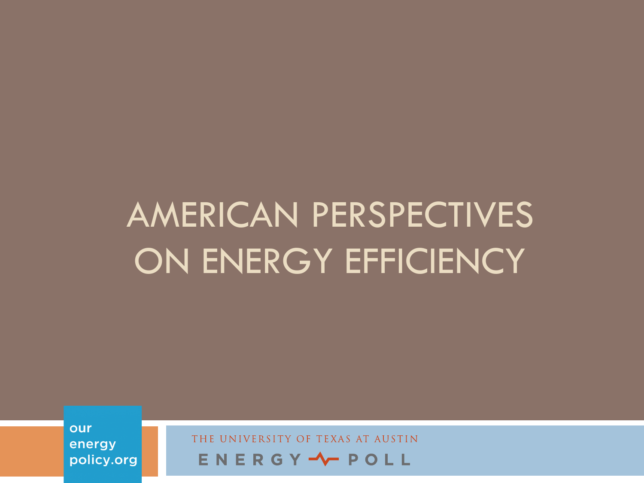our energy policy.org

OF TEXAS AT AUSTIN UNIVERSITY ENERGY - POLL

# AMERICAN PERSPECTIVES ON ENERGY EFFICIENCY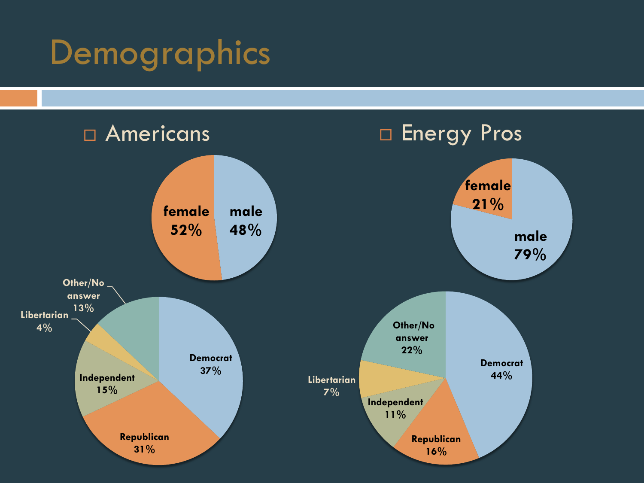## Demographics

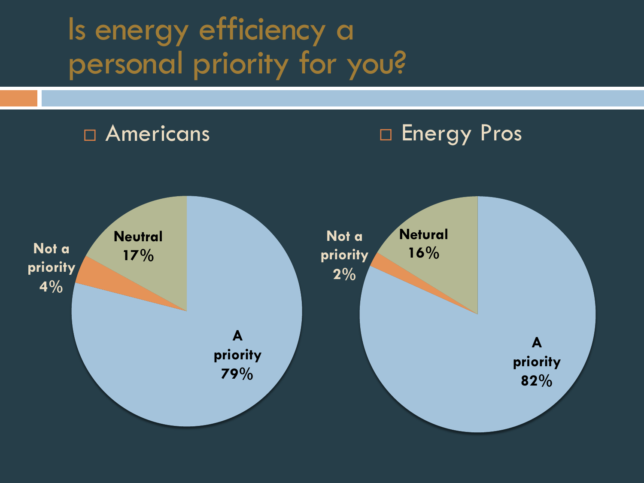### Is energy efficiency a personal priority for you?

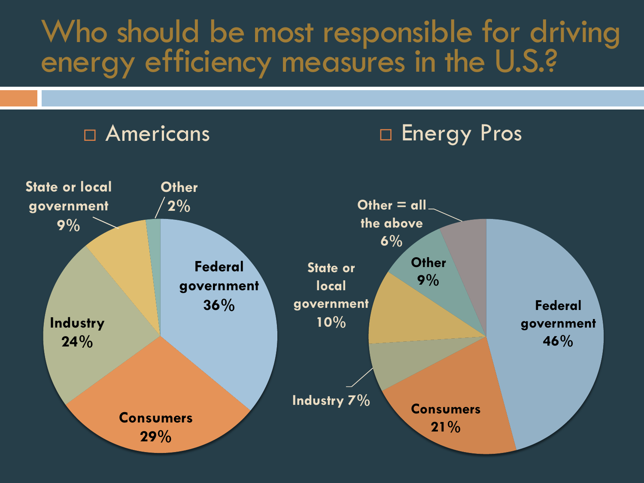### Who should be most responsible for driving energy efficiency measures in the U.S.?

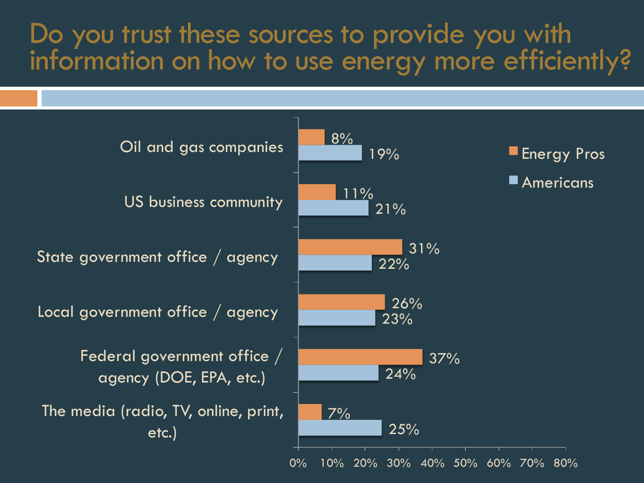#### Do you trust these sources to provide you with information on how to use energy more efficiently?

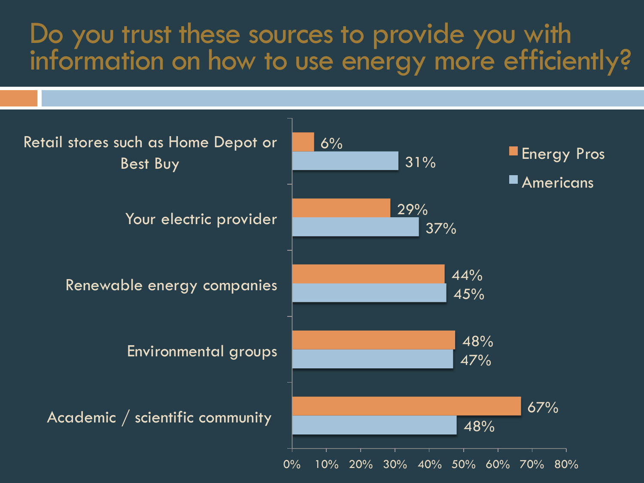#### Do you trust these sources to provide you with information on how to use energy more efficiently?

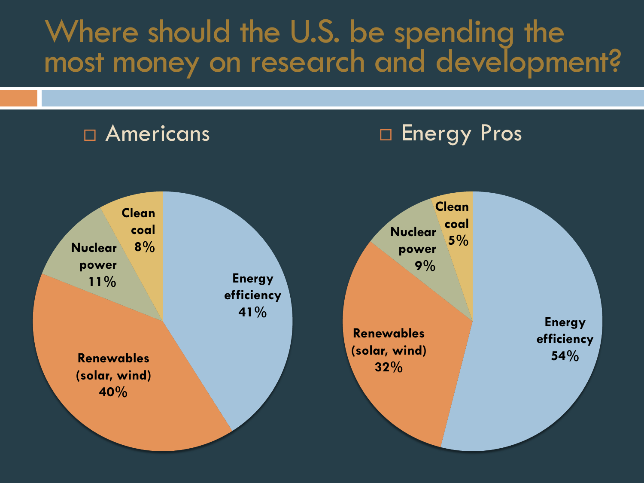#### Where should the U.S. be spending the most money on research and development?

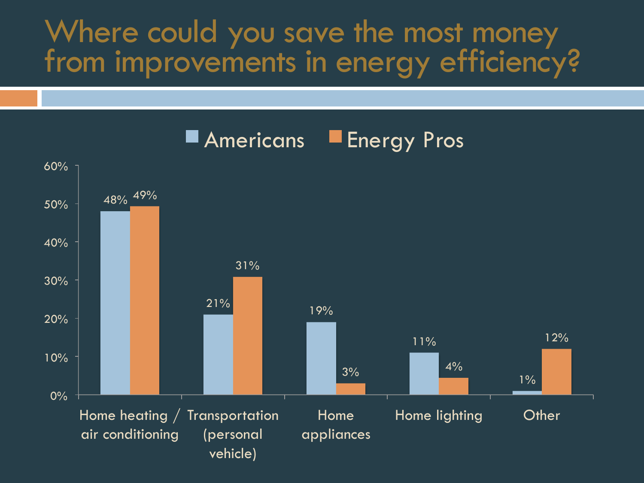#### Where could you save the most money from improvements in energy efficiency?